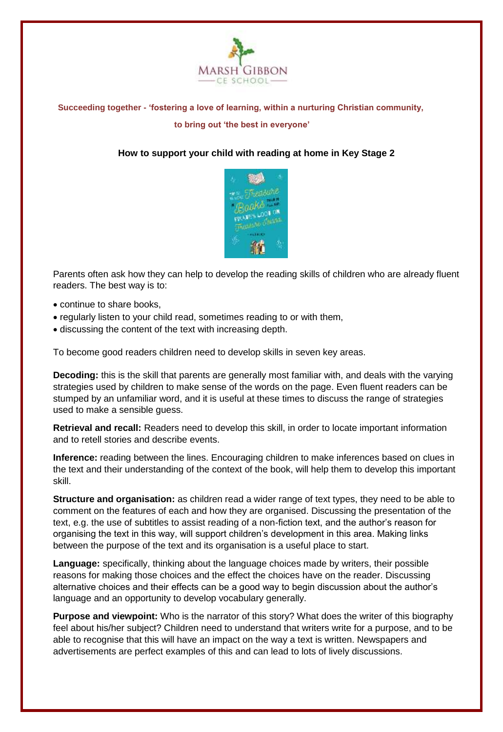

# **Succeeding together - 'fostering a love of learning, within a nurturing Christian community, to bring out 'the best in everyone'**

# **How to support your child with reading at home in Key Stage 2**



Parents often ask how they can help to develop the reading skills of children who are already fluent readers. The best way is to:

- continue to share books,
- regularly listen to your child read, sometimes reading to or with them,
- discussing the content of the text with increasing depth.

To become good readers children need to develop skills in seven key areas.

**Decoding:** this is the skill that parents are generally most familiar with, and deals with the varying strategies used by children to make sense of the words on the page. Even fluent readers can be stumped by an unfamiliar word, and it is useful at these times to discuss the range of strategies used to make a sensible guess.

**Retrieval and recall:** Readers need to develop this skill, in order to locate important information and to retell stories and describe events.

**Inference:** reading between the lines. Encouraging children to make inferences based on clues in the text and their understanding of the context of the book, will help them to develop this important skill.

**Structure and organisation:** as children read a wider range of text types, they need to be able to comment on the features of each and how they are organised. Discussing the presentation of the text, e.g. the use of subtitles to assist reading of a non-fiction text, and the author's reason for organising the text in this way, will support children's development in this area. Making links between the purpose of the text and its organisation is a useful place to start.

**Language:** specifically, thinking about the language choices made by writers, their possible reasons for making those choices and the effect the choices have on the reader. Discussing alternative choices and their effects can be a good way to begin discussion about the author's language and an opportunity to develop vocabulary generally.

**Purpose and viewpoint:** Who is the narrator of this story? What does the writer of this biography feel about his/her subject? Children need to understand that writers write for a purpose, and to be able to recognise that this will have an impact on the way a text is written. Newspapers and advertisements are perfect examples of this and can lead to lots of lively discussions.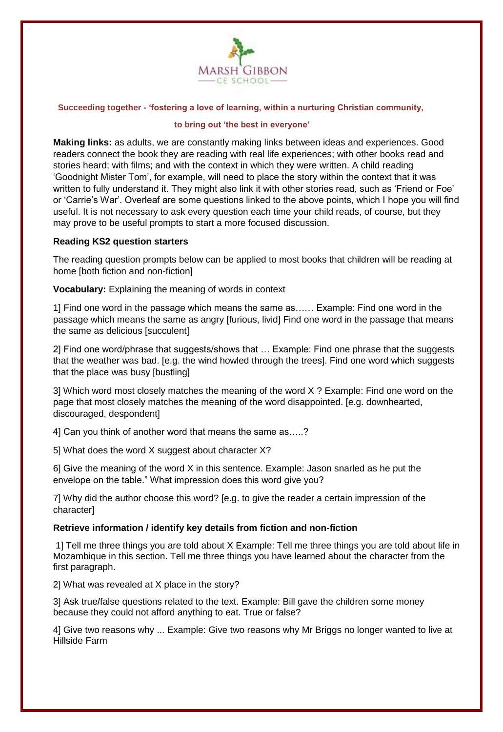

### **Succeeding together - 'fostering a love of learning, within a nurturing Christian community,**

## **to bring out 'the best in everyone'**

**Making links:** as adults, we are constantly making links between ideas and experiences. Good readers connect the book they are reading with real life experiences; with other books read and stories heard; with films; and with the context in which they were written. A child reading 'Goodnight Mister Tom', for example, will need to place the story within the context that it was written to fully understand it. They might also link it with other stories read, such as 'Friend or Foe' or 'Carrie's War'. Overleaf are some questions linked to the above points, which I hope you will find useful. It is not necessary to ask every question each time your child reads, of course, but they may prove to be useful prompts to start a more focused discussion.

# **Reading KS2 question starters**

The reading question prompts below can be applied to most books that children will be reading at home [both fiction and non-fiction]

**Vocabulary:** Explaining the meaning of words in context

1] Find one word in the passage which means the same as…… Example: Find one word in the passage which means the same as angry [furious, livid] Find one word in the passage that means the same as delicious [succulent]

2] Find one word/phrase that suggests/shows that … Example: Find one phrase that the suggests that the weather was bad. [e.g. the wind howled through the trees]. Find one word which suggests that the place was busy [bustling]

3] Which word most closely matches the meaning of the word X ? Example: Find one word on the page that most closely matches the meaning of the word disappointed. [e.g. downhearted, discouraged, despondent]

4] Can you think of another word that means the same as…..?

5] What does the word X suggest about character X?

6] Give the meaning of the word X in this sentence. Example: Jason snarled as he put the envelope on the table." What impression does this word give you?

7] Why did the author choose this word? [e.g. to give the reader a certain impression of the character]

# **Retrieve information / identify key details from fiction and non-fiction**

1] Tell me three things you are told about X Example: Tell me three things you are told about life in Mozambique in this section. Tell me three things you have learned about the character from the first paragraph.

2] What was revealed at X place in the story?

3] Ask true/false questions related to the text. Example: Bill gave the children some money because they could not afford anything to eat. True or false?

4] Give two reasons why ... Example: Give two reasons why Mr Briggs no longer wanted to live at Hillside Farm